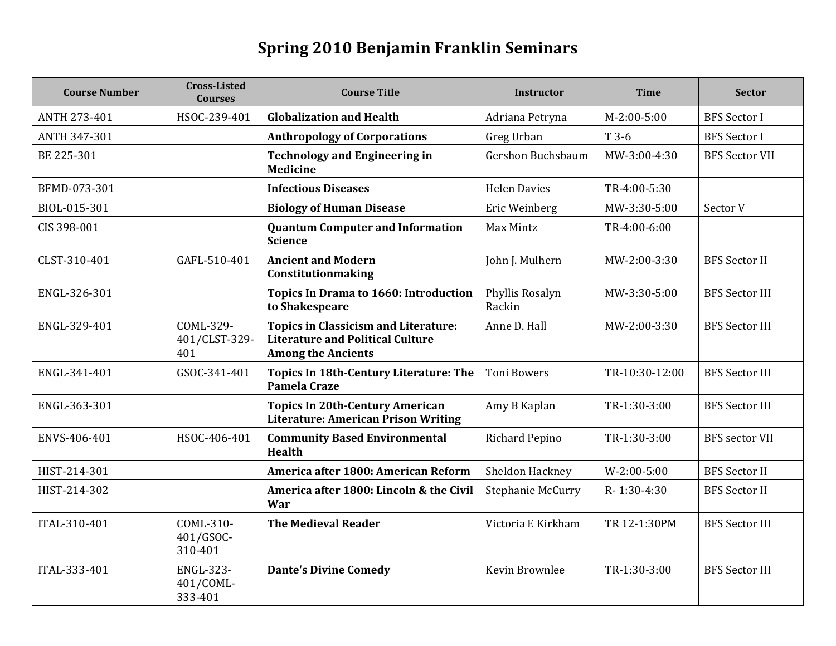## **Spring 2010 Benjamin Franklin Seminars**

| <b>Course Number</b> | <b>Cross-Listed</b><br><b>Courses</b>    | <b>Course Title</b>                                                                                                 | <b>Instructor</b>         | <b>Time</b>    | <b>Sector</b>         |
|----------------------|------------------------------------------|---------------------------------------------------------------------------------------------------------------------|---------------------------|----------------|-----------------------|
| <b>ANTH 273-401</b>  | HSOC-239-401                             | <b>Globalization and Health</b>                                                                                     | Adriana Petryna           | $M-2:00-5:00$  | <b>BFS</b> Sector I   |
| ANTH 347-301         |                                          | <b>Anthropology of Corporations</b>                                                                                 | Greg Urban                | T 3-6          | <b>BFS</b> Sector I   |
| BE 225-301           |                                          | <b>Technology and Engineering in</b><br><b>Medicine</b>                                                             | Gershon Buchsbaum         | MW-3:00-4:30   | <b>BFS Sector VII</b> |
| BFMD-073-301         |                                          | <b>Infectious Diseases</b>                                                                                          | <b>Helen Davies</b>       | TR-4:00-5:30   |                       |
| BIOL-015-301         |                                          | <b>Biology of Human Disease</b>                                                                                     | Eric Weinberg             | MW-3:30-5:00   | Sector V              |
| CIS 398-001          |                                          | <b>Quantum Computer and Information</b><br><b>Science</b>                                                           | Max Mintz                 | TR-4:00-6:00   |                       |
| CLST-310-401         | GAFL-510-401                             | <b>Ancient and Modern</b><br>Constitutionmaking                                                                     | John J. Mulhern           | MW-2:00-3:30   | <b>BFS Sector II</b>  |
| ENGL-326-301         |                                          | <b>Topics In Drama to 1660: Introduction</b><br>to Shakespeare                                                      | Phyllis Rosalyn<br>Rackin | MW-3:30-5:00   | <b>BFS Sector III</b> |
| ENGL-329-401         | COML-329-<br>401/CLST-329-<br>401        | <b>Topics in Classicism and Literature:</b><br><b>Literature and Political Culture</b><br><b>Among the Ancients</b> | Anne D. Hall              | MW-2:00-3:30   | <b>BFS Sector III</b> |
| ENGL-341-401         | GSOC-341-401                             | <b>Topics In 18th-Century Literature: The</b><br><b>Pamela Craze</b>                                                | <b>Toni Bowers</b>        | TR-10:30-12:00 | <b>BFS Sector III</b> |
| ENGL-363-301         |                                          | <b>Topics In 20th-Century American</b><br><b>Literature: American Prison Writing</b>                                | Amy B Kaplan              | TR-1:30-3:00   | <b>BFS Sector III</b> |
| ENVS-406-401         | HSOC-406-401                             | <b>Community Based Environmental</b><br><b>Health</b>                                                               | <b>Richard Pepino</b>     | TR-1:30-3:00   | <b>BFS</b> sector VII |
| HIST-214-301         |                                          | America after 1800: American Reform                                                                                 | Sheldon Hackney           | $W-2:00-5:00$  | <b>BFS Sector II</b>  |
| HIST-214-302         |                                          | America after 1800: Lincoln & the Civil<br>War                                                                      | <b>Stephanie McCurry</b>  | R-1:30-4:30    | <b>BFS</b> Sector II  |
| ITAL-310-401         | COML-310-<br>401/GSOC-<br>310-401        | <b>The Medieval Reader</b>                                                                                          | Victoria E Kirkham        | TR 12-1:30PM   | <b>BFS Sector III</b> |
| ITAL-333-401         | <b>ENGL-323-</b><br>401/COML-<br>333-401 | <b>Dante's Divine Comedy</b>                                                                                        | Kevin Brownlee            | TR-1:30-3:00   | <b>BFS Sector III</b> |